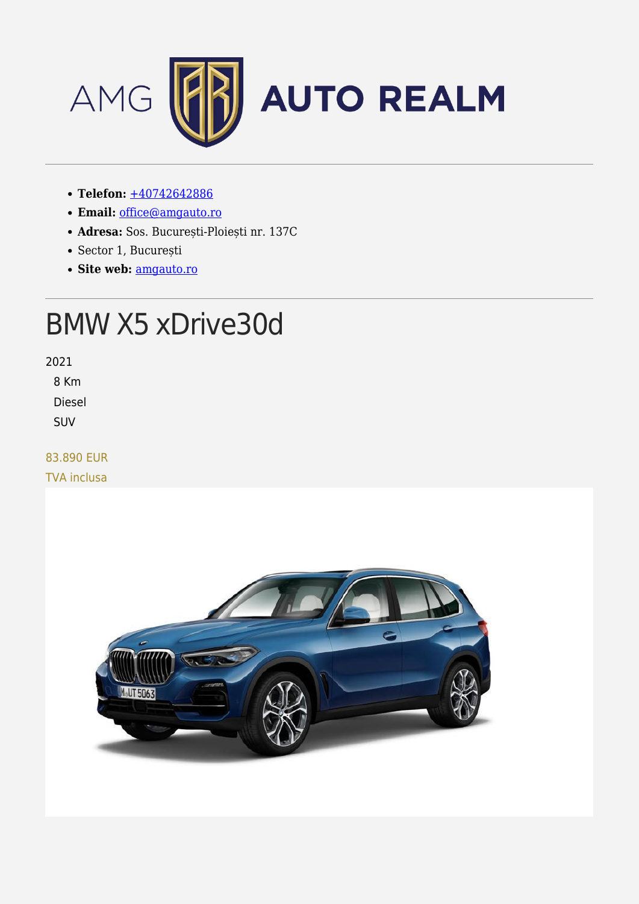

- **Telefon:** [+40742642886](#page--1-0)
- **Email:** [office@amgauto.ro](mailto:office@amgauto.ro)
- **Adresa:** Sos. București-Ploiești nr. 137C
- Sector 1, București
- **Site web:** [amgauto.ro](https://amgauto.ro)

# BMW X5 xDrive30d

2021

8 Km

Diesel

SUV

### 83.890 EUR

TVA inclusa

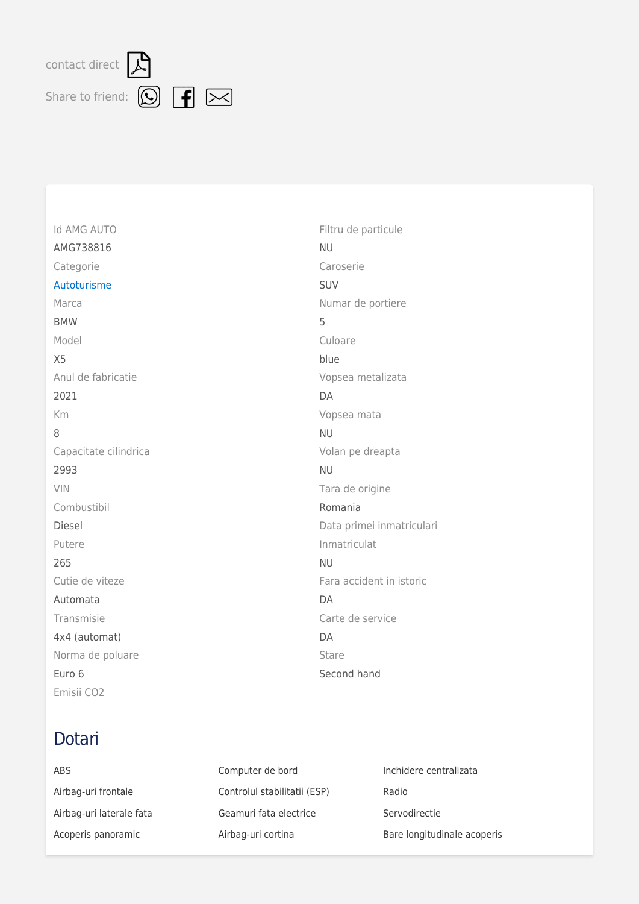contactdirect  $\beta$ 



| <b>Id AMG AUTO</b>    |
|-----------------------|
| AMG738816             |
| Categorie             |
| Autoturisme           |
| Marca                 |
| <b>BMW</b>            |
| Model                 |
| X <sub>5</sub>        |
| Anul de fabricatie    |
| 2021                  |
| Km                    |
| 8                     |
| Capacitate cilindrica |
| 2993                  |
| VIN                   |
| Combustibil           |
| <b>Diesel</b>         |
| Putere                |
| 265                   |
| Cutie de viteze       |
| Automata              |
| Transmisie            |
| 4x4 (automat)         |
| Norma de poluare      |
| Euro 6                |
| Emisii CO2            |

### Dotari

| ABS                      | Computer de bord             | Inchidere centralizata      |
|--------------------------|------------------------------|-----------------------------|
| Airbag-uri frontale      | Controlul stabilitatii (ESP) | Radio                       |
| Airbag-uri laterale fata | Geamuri fata electrice       | Servodirectie               |
| Acoperis panoramic       | Airbag-uri cortina           | Bare longitudinale acoperis |

Filtru de particule

Numar de portiere

Vopsea metalizata

Vopsea mata

Volan pe dreapta

Tara de origine

Data primei inmatriculari

Fara accident in istoric

Carte de service

Second hand

Romania

Inmatriculat

NU

SUV

5

DA

NU

NU

NU

DA

DA Stare

Culoare blue

Caroserie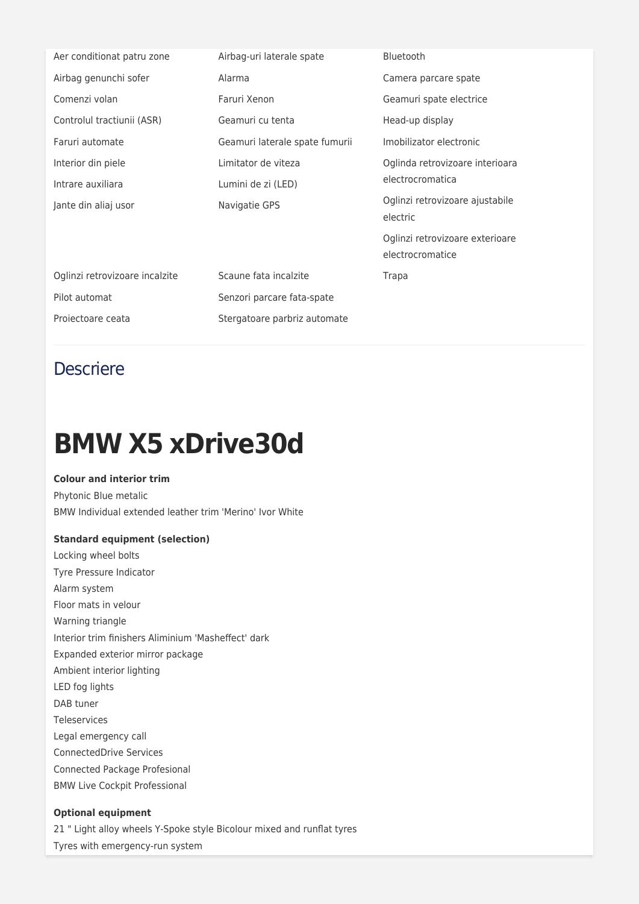| Aer conditionat patru zone     | Airbag-uri laterale spate      | <b>Bluetooth</b>                                    |
|--------------------------------|--------------------------------|-----------------------------------------------------|
| Airbag genunchi sofer          | Alarma                         | Camera parcare spate                                |
| Comenzi volan                  | Faruri Xenon                   | Geamuri spate electrice                             |
| Controlul tractiunii (ASR)     | Geamuri cu tenta               | Head-up display                                     |
| Faruri automate                | Geamuri laterale spate fumurii | Imobilizator electronic                             |
| Interior din piele             | Limitator de viteza            | Oglinda retrovizoare interioara<br>electrocromatica |
| Intrare auxiliara              | Lumini de zi (LED)             |                                                     |
| Jante din aliaj usor           | Navigatie GPS                  | Oglinzi retrovizoare ajustabile<br>electric         |
|                                |                                | Oglinzi retrovizoare exterioare<br>electrocromatice |
| Oglinzi retrovizoare incalzite | Scaune fata incalzite          | Trapa                                               |
| Pilot automat                  | Senzori parcare fata-spate     |                                                     |
| Projectoare ceata              | Stergatoare parbriz automate   |                                                     |

### **Descriere**

## **BMW X5 xDrive30d**

### **Colour and interior trim**

Phytonic Blue metalic BMW Individual extended leather trim 'Merino' Ivor White

#### **Standard equipment (selection)**

Locking wheel bolts Tyre Pressure Indicator Alarm system Floor mats in velour Warning triangle Interior trim finishers Aliminium 'Masheffect' dark Expanded exterior mirror package Ambient interior lighting LED fog lights DAB tuner Teleservices Legal emergency call ConnectedDrive Services Connected Package Profesional BMW Live Cockpit Professional

#### **Optional equipment**

21 " Light alloy wheels Y-Spoke style Bicolour mixed and runflat tyres Tyres with emergency-run system